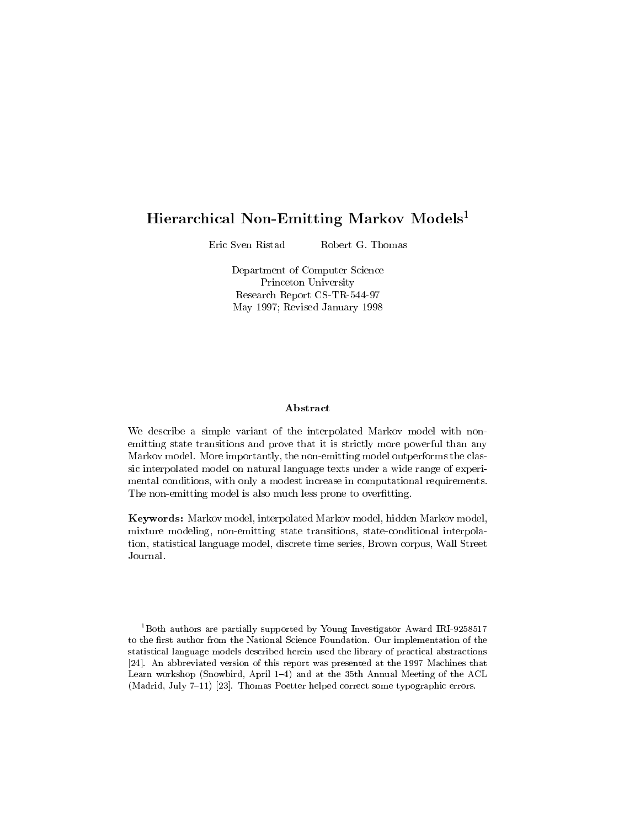# Hierarchical Non-Emitting Markov Models<sup>1</sup>

Eric Sven Ristad Robert G. Thomas

> Department of Computer Science Princeton University Research Report CS-TR-544-97 May 1997; Revised January 1998

## Abstract

We describe a simple variant of the interpolated Markov model with non emitting state transitions and prove that it is strictly more powerful than any Markov model- More importantly the nonemitting model outperforms the clas sic interpolated model on natural language texts under a wide range of experi mental conditions with only a modest increase in computational requirements-The non-emitting model is also much less prone to overfitting.

er, , , er er models models models models models models models models models in models mixture modeling stateconditions transitions interpreted that the state of the state of  $\mathbb{R}^n$ tions are statistical language models would consider the series of the series of the series of the series of t Journal-

Both authors are partially supported by Young Investigator Award IRI to the first author from the National Science Foundation. Our implementation of the statistical language models described herein used the library of practical abstractions  An abbreviated version of this report was presented at the -- Machines that Learn workshop (Snowbird, April  $1-4$ ) and at the 35th Annual Meeting of the ACL  $\mathcal{M}$  . The matrix  $\mathcal{M}$  are the some typographic errors of  $\mathcal{M}$  and  $\mathcal{M}$  are typographic errors of  $\mathcal{M}$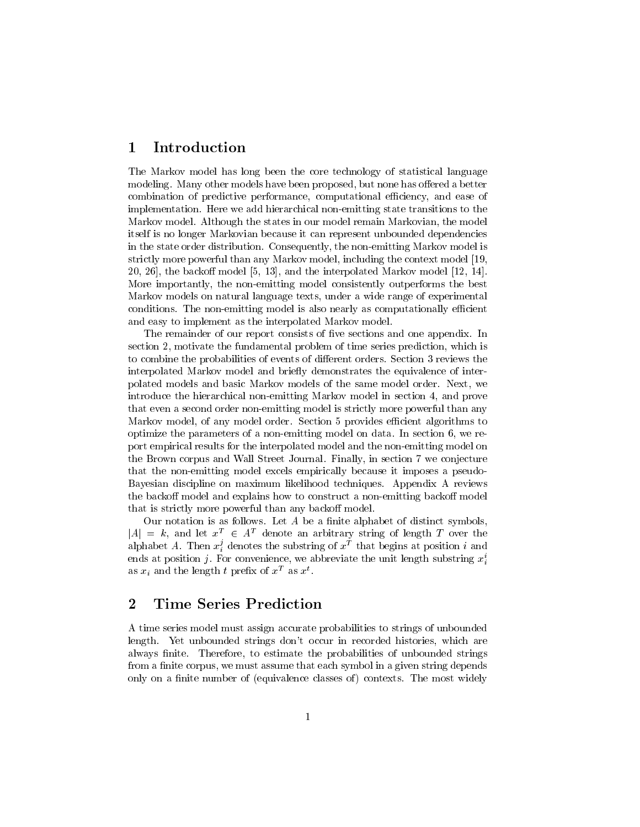#### $\mathbf 1$ Introduction

The Markov model has long been the core technology of statistical language modeling-but none models have been proposed better models have been proposed by the second computation of predictive performance, computations and ease  $\mu$  and ease of  $\mu$ implementation- Here we add hierarchical nonemitting state transitions to the Markov model- Although the states in our model remain Markovian the model itself is no longer Markovian because it can represent unbounded dependencies in the state order distribution- Consequently the nonemitting Markov model is strictly more powerful than any Markov model including the context model the backo model and the interpolated Markov model -More importantly the nonemitting model consistently outperforms the best Markov models on natural language texts under a wide range of experimental conditions- The nonemitting model is also nearly as computations, and computationally as construction and easy to implement as the interpolated Markov model.

The remainder of our report consists of ve sections and one appendix- In section motivate the fundamental problem of time series prediction which is to combine the probabilities of events of dierent orders- Section reviews the interpolated Markov model and briefly demonstrates the equivalence of interpolated models and basic models and have models of the same models of the same models of the same of the same introduce the hierarchical nonemitting Markov model in section and prove that even a second order non-emitting model is strictly more powerful than any Markov model of any model order- Section provides e
cient algorithms to optimize the parameters of a nonemitting model on data- In section we re port empirical results for the interpolated model and the nonemitting model on the Brown corpus and Wall Street Journal- Finally in section we conjecture that the non-emitting model excels empirically because it imposes a pseudo-Bayesian discipline on maximum likelihood techniques- Appendix A reviews the backoff model and explains how to construct a non-emitting backoff model that is strictly more powerful than any backoff model.

Our notation is as follows. Let  $A$  be a finite alphabet of distinct symbols.  $|A| = k$ , and let  $x^T \in A^T$  denote an arbitrary string of length T over the alphabet A. Then  $x_i^a$  denotes the substring of  $x^a$  that begins at position  $i$  and ends at position  $j$ . For convenience, we abbreviate the unit length substring  $x_i$ as  $x_i$  and the length t prenx of x as  $x$ .

# 2 Time Series Prediction

A time series model must assign accurate probabilities to strings of unbounded length- Yet unbounded strings dont occur in recorded histories which are always nite-to to estimate the probabilities of unbounded strings of unbounded strings and the probabilities o ran a nite corpus assume that each symbol in a given string depends on  $\pi$ only on a nite number of the most most classes of the most widely contexts of  $\mathcal{T}_\mathcal{A}$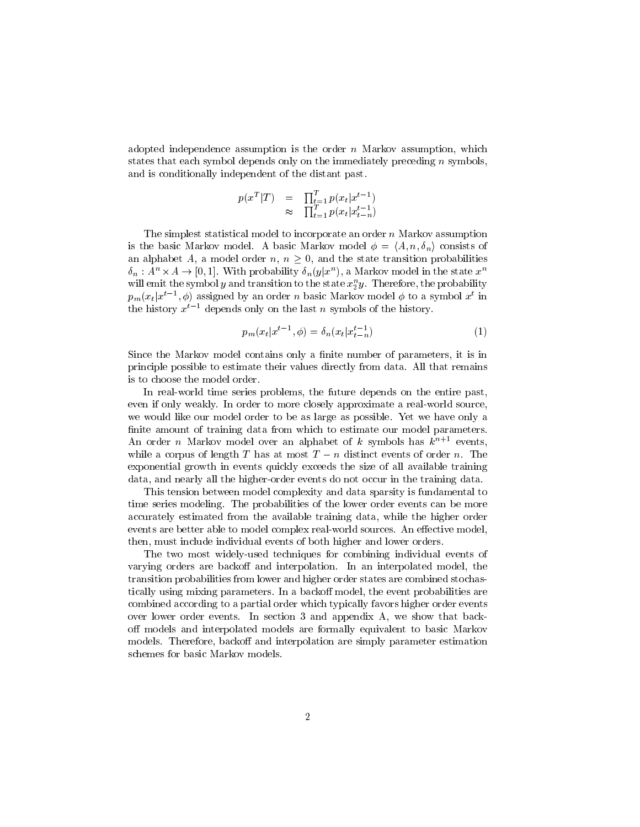adopted independence assumption is the order notation is the order order  $\mu$  assumption is the order order order order order order order order order order order order order order order order order order order order order states that each symbol depends only on the immediately preceding  $n$  symbols. and is conditionally independent of the distant past-

$$
p(x^T|T) = \prod_{t=1}^T p(x_t|x^{t-1})
$$
  

$$
\approx \prod_{t=1}^T p(x_t|x_{t-n}^{t-1})
$$

The simplest statistical model to incorporate an order n Markov assumption is the basic Markov model. A basic Markov model  $\phi = \langle A, n, \delta_n \rangle$  consists of an alphabet A, a model order  $n, n \geq 0$ , and the state transition probabilities  $\delta_n: A^n \times A \to [0,1].$  With probability  $\delta_n(y|x^n)$ , a Markov model in the state  $x^n$ will emit the symbol  $y$  and transition to the state  $x_2^\ast y$  . I herefore, the probability  $p_m(x_t|x^{t-1},\phi)$  assigned by an order  $n$  basic Markov model  $\phi$  to a symbol  $x^t$  in the history  $x^{i-1}$  depends only on the last n symbols of the history.

$$
p_m(x_t|x^{t-1},\phi) = \delta_n(x_t|x_{t-n}^{t-1})
$$
\n(1)

Since the Markov model contains only a nite number of parameters it is in principle possible to estimate their values directly from data- All that remains is to choose the model order.

an real world time series problems on the entire past on the entire past  $\mathbf{r}$ even if only weakly- In order to more closely approximate a realworld source we would like our model order to be as  $\mathbb{N}$ finite amount of training data from which to estimate our model parameters. An order  $n$  markov model over an alphabet of  $\kappa$  symbols has  $\kappa^{n+1}$  events, while a corpus of length T has at most  $T = n$  distinct events of order n. The exponential growth in events quickly exceeds the size of all available training adding and decade, and the highers to die the training of the training data-occur

This tension between model complexity and data sparsity is fundamental to time series modeling- The probabilities of the lower order events can be more accurately estimated from the available training data available training data available training data available events are better able to model complex realworld sources- An eective model then include individual events of both higher and lower orders-dependent of both higher and lower orders-

The two most widely-used techniques for combining individual events of vary regular and interpreted model interpreted models and interpreted models and interpreted models interprete transition probabilities from lower and higher order states are combined stochas tically using mixing parameters- in a backovic model with a backovic probabilities are the event of the event of the combined according to a partial order which typically favors higher order events over lower order events- and appendix a section spectrum in the section and appendix  $\sim$ off models and interpolated models are formally equivalent to basic Markov models- Therefore backo and interpolation are simply parameter estimation schemes for basic Markov models-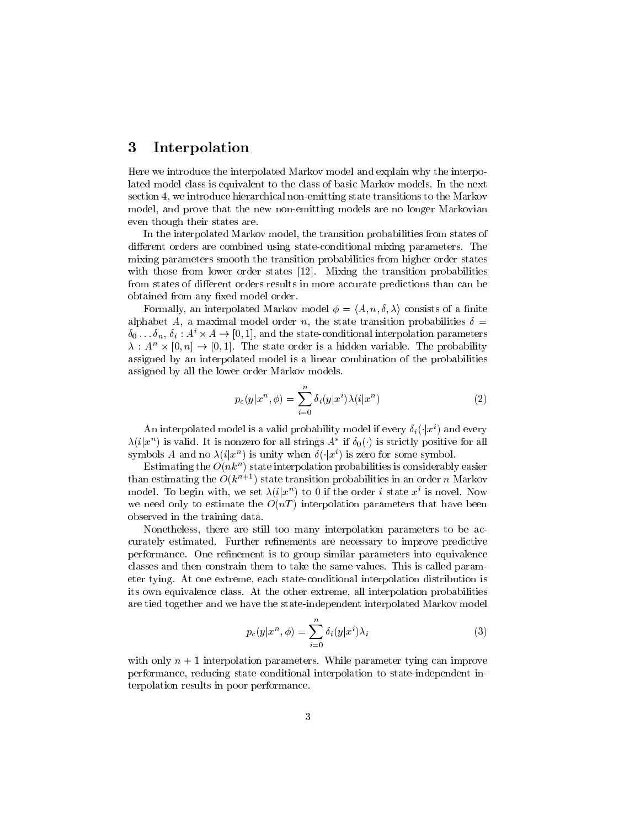# 3 Interpolation

Here we introduce the interpolated Markov model and explain why the interpo lated model class is equivalent to the class of basic Markov models- In the next section we introduce hierarchical nonemitting state transitions to the Markov model and prove that the new nonemitting models are no longer models are no longer even though their states are.

In the interpolated Markov model the transition probabilities from states of dierent orders are combined using stateconditional mixing parameters- The mixing parameters smooth the transition probabilities from higher order states with these from lower states states -  $\vert$  -  $\vert$  ,  $\vert$  ,  $\vert$  ,  $\vert$  ,  $\vert$  ,  $\vert$  ,  $\vert$  ,  $\vert$  ,  $\vert$  ,  $\vert$  ,  $\vert$  ,  $\vert$  ,  $\vert$  ,  $\vert$  ,  $\vert$  ,  $\vert$  ,  $\vert$  ,  $\vert$  ,  $\vert$  ,  $\vert$  ,  $\vert$  ,  $\vert$  ,  $\vert$  ,  $\vert$  ,  $\vert$  ,  $\$ from states of different orders results in more accurate predictions than can be obtained from any fixed model order.

Formally, an interpolated Markov model  $\phi = \langle A, n, \delta, \lambda \rangle$  consists of a finite alphabet A and model order number order the state transition probabilities and the state transition of the sta  $\delta_0 \ldots \delta_n$ ,  $\delta_i : A^i \times A \to [0,1]$ , and the state-conditional interpolation parameters  $\lambda$  :  $A'' \times [0,n] \rightarrow [0,1]$ . The state order is a hidden variable. The probability assigned by an interpolated model is a linear combination of the probabilities assigned by all the lower order Markov models-

$$
p_c(y|x^n, \phi) = \sum_{i=0}^n \delta_i(y|x^i) \lambda(i|x^n)
$$
\n(2)

An interpolated model is a valid probability model if every  $\delta_i(\cdot|x^i)$  and every  $\lambda(i|x^n)$  is valid. It is nonzero for all strings  $A^*$  if  $\delta_0(\cdot)$  is strictly positive for all symbols A and no  $\lambda(i|x^n)$  is unity when  $\delta(\cdot|x^i)$  is zero for some symbol.

Estimating the  $O(n\kappa^{\alpha})$  state interpolation probabilities is considerably easier than estimating the  $O(\kappa^{n+1})$  state transition probabilities in an order  $n$  markov model. To begin with, we set  $\lambda(i|x^n)$  to 0 if the order i state  $x^i$  is novel. Now we need only to estimate the  $O(nT)$  interpolation parameters that have been observed in the training data.

Nonetheless there are still too many interpolation parameters to be ac curately estimated- are necessary to increase that we necessary to improve predictive are  $\sim$ performance- One renement is to group similar parameters into equivalence classes and the them the same values- the same values- the same values- of the same parameters  $\mu$ eter tying-polation interpretational interpretation interpretational interpretation interpretation in its own equivalence class- At the other extreme all interpolation probabilities are tied together and we have the stateindependent interpolated Markov model

$$
p_c(y|x^n, \phi) = \sum_{i=0}^n \delta_i(y|x^i)\lambda_i
$$
 (3)

with only n interpretation parameters, it into parameters tying can improve the  $\sim$ performance, statecom<sub>e</sub> state communication to state in state model interpretation in terpolation results in poor performance-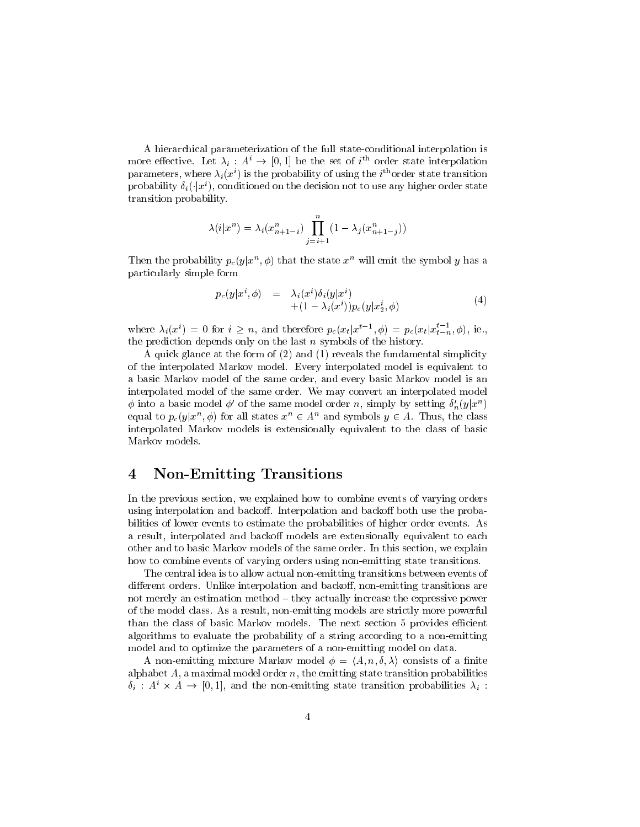A hierarchical parameterization of the full state-conditional interpolation is more effective. Let  $\lambda_i: A^c \to [0,1]$  be the set of  $i^{th}$  order state interpolation parameters, where  $\lambda_i(x^*)$  is the probability of using the  $i$  -order state transition probability  $\delta_i(\cdot|x^i),$  conditioned on the decision not to use any higher order state transition probability-

$$
\lambda(i|x^n) = \lambda_i(x^n_{n+1-i}) \prod_{j=i+1}^n (1 - \lambda_j(x^n_{n+1-j}))
$$

Then the probability  $p_c(y|x^n, \phi)$  that the state  $x^n$  will emit the symbol y has a particularly simple form

$$
p_c(y|x^i, \phi) = \lambda_i(x^i)\delta_i(y|x^i) + (1 - \lambda_i(x^i))p_c(y|x_2^i, \phi)
$$
\n
$$
(4)
$$

where  $\lambda_i(x^i) = 0$  for  $i \geq n$ , and therefore  $p_c(x_t | x^{t-1}, \phi) = p_c(x_t | x_{t-n}^{t-1}, \phi)$ , ie., the prediction depends only on the last  $n$  symbols of the history.

A quick glance at the form of  $(2)$  and  $(1)$  reveals the fundamental simplicity of the interpretation interpretation and model-interpretation model is equivalent to the contract of the contract of a basic Markov model of the same order and every basic Markov model is an interpolated model of the same order- We may convert an interpolated model  $\phi$  into a basic model  $\phi'$  of the same model order n, simply by setting  $\delta'_n(y|x^n)$ equal to  $p_c(y|x^n, \phi)$  for all states  $x^n \in A^n$  and symbols  $y \in A$ . Thus, the class interpolated Markov models is extensionally equivalent to the class of basic Markov models-

# 4 Non-Emitting Transitions

In the previous section we explained how to combine events of varying orders using interpolation and backo- Interpolation and backo both use the proba bilities of lower events to estimate the probabilities of higher order events- As a result interpolated and backo models are extensionally equivalent to each other and to basic didness of the same or the same order-same order-same ordering-the samples of the section how to combine events of varying orders using non-emitting state transitions.

The central idea is to allow actual non-emitting transitions between events of dierent orders-benefit interpretation and backopter interpretation and backopter interpretations are the control of not merely an estimation method  $-\text{they}$  actually increase the expressive power of the model class-class-class-class-class-class-class-class-class-class-class-class-class-class-class-class-c than the class of basic Markov models- The next section provides e
cient algorithms to evaluate the probability of a string according to a nonemitting model and to optimize the parameters of a non-emitting model on data.

A non-emitting mixture Markov model  $\phi = \langle A,n,\delta,\lambda \rangle$  consists of a finite alphabet A and the emitting state transition order the emitting state transition probabilities and the emitting order  $\delta_i$ :  $A^i \times A \rightarrow [0,1]$ , and the non-emitting state transition probabilities  $\lambda_i$ :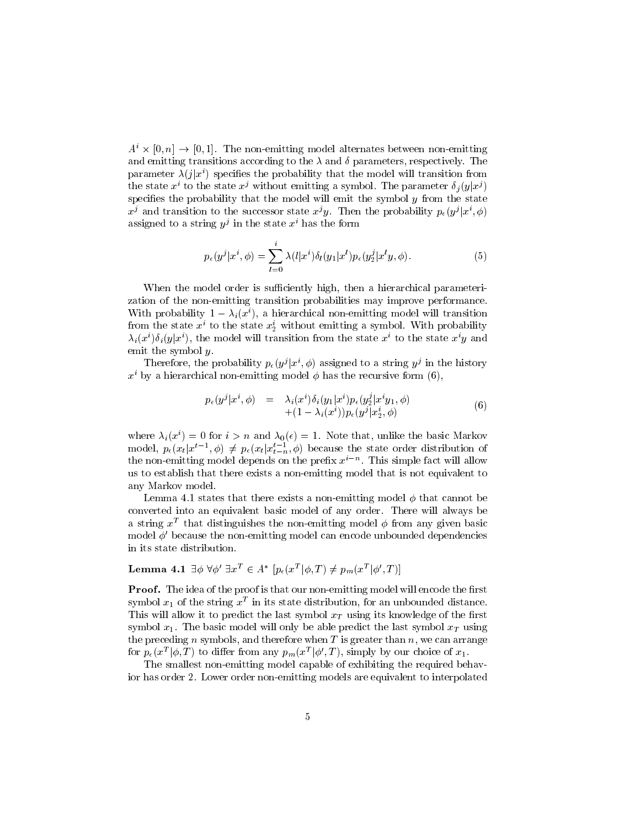$A^i \times [0,n] \rightarrow [0,1]$ . The non-emitting model alternates between non-emitting and the corresponding transitions according to the according transitions parameters  $\mathbf{p}$ parameter  $\lambda(i|x^i)$  specifies the probability that the model will transition from the state  $x^i$  to the state  $x^j$  without emitting a symbol. The parameter  $\delta_j(y|x^j)$ specifies the probability that the model will emit the symbol  $y$  from the state  $x^j$  and transition to the successor state  $x^jy$ . Then the probability  $p_{\epsilon}(y^j|x^i, \phi)$ assigned to a string  $y^2$  in the state  $x$  has the form

$$
p_{\epsilon}(y^{j}|x^{i},\phi) = \sum_{l=0}^{i} \lambda(l|x^{i}) \delta_{l}(y_{1}|x^{l}) p_{\epsilon}(y_{2}^{j}|x^{l}y,\phi).
$$
 (5)

when the model or such a such the model parameterization or model in the such as parameterization zation of the non-emitting transition probabilities may improve performance. With probability  $1 - \lambda_i(x^*)$ , a hierarchical non-emitting model will transition from the state  $x_1$  to the state  $x_2$  without emitting a symbol. With probability  $\lambda_i(x^i)\delta_i(y|x^i)$ , the model will transition from the state  $x^i$  to the state  $x^iy$  and emit the symbol  $y$ .

Therefore, the probability  $p_{\epsilon}(y^{j} | x^{i}, \phi)$  assigned to a string  $y^{j}$  in the history  $x<sup>i</sup>$  by a hierarchical non-emitting model  $\phi$  has the recursive form (6),

$$
p_{\epsilon}(y^{j}|x^{i},\phi) = \lambda_{i}(x^{i})\delta_{i}(y_{1}|x^{i})p_{\epsilon}(y_{2}^{j}|x^{i}y_{1},\phi) + (1-\lambda_{i}(x^{i}))p_{\epsilon}(y^{j}|x_{2}^{i},\phi)
$$
\n(6)

where  $\lambda_i(x^*) = 0$  for  $i > n$  and  $\lambda_0(\epsilon) = 1$ . Note that, unlike the basic Markov model,  $p_e(x_t|x^{t-1},\phi) \neq p_e(x_t|x_{t-n}^{t-1},\phi)$  because the state order distribution of the non-emitting model depends on the prefix  $x^{i-n}$ . This simple fact will allow us to establish that there exists a nonemitting model that is not equivalent to any Markov model.

 $\mathbf{A}$ converted into an equivalent basic model of any order- There will always be a string  $x^-$  that distinguishes the non-emitting model  $\phi$  from any given basic model  $\phi'$  because the non-emitting model can encode unbounded dependencies in its state distribution-

### Lemma 4.1  $\exists \phi \; \forall \phi' \; \exists x^T \in A^* \; \left[p_\epsilon(x^T | \phi, T) \neq p_m(x^T | \phi', T)\right]$

Proof. The idea of the proof is that our non-emitting model will encode the first symbol  $x_1$  of the string  $x^-$  in its state distribution, for an unbounded distance. This will allow it to predict the last symbol  $x_T$  using its knowledge of the first  $\sim$  - The basic model will only be able predict the last symbol  $\sim$  T using  $\sim$  T using  $\sim$ the preceding n symbols and therefore when T is greater than no can arrange when T is greater than no can arrange for  $p_{\epsilon}(x^T|\phi,T)$  to differ from any  $p_m(x^T|\phi',T)$ , simply by our choice of  $x_1$ .

The smallest non-emitting model capable of exhibiting the required behavior has order - Lower order nonemitting models are equivalent to interpolated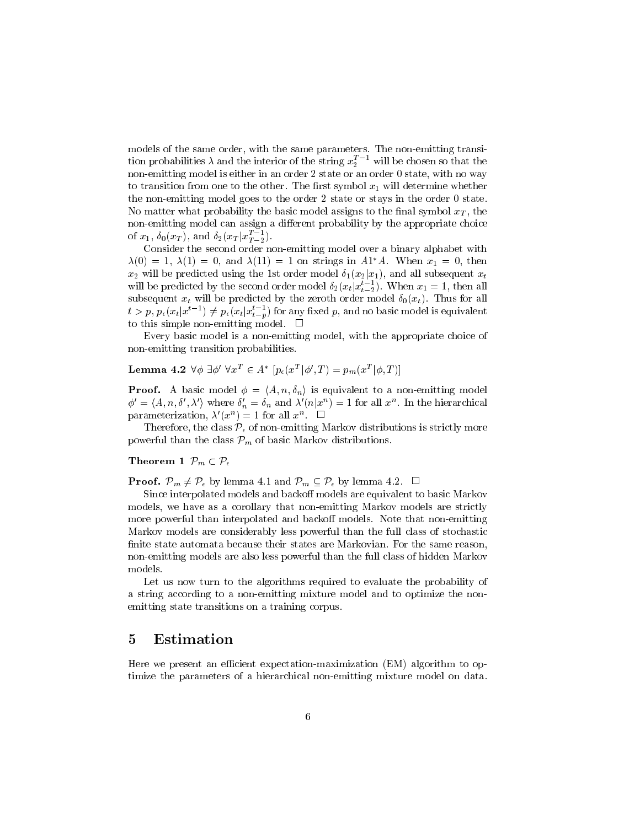models of the same orders, with the same parameters- with the same transity transit tion probabilities  $\lambda$  and the interior of the string  $x_2^{*-1}$  will be chosen so that the nonemitting model is either in an order state or an order state with no way to transition from one to the other-determine whether-determine whether-determine whetherthe non-emitting model goes to the order 2 state or stays in the order 0 state. No matter what probability the basic model assigns to the nal symbol xT the non-emitting model can assign a different probability by the appropriate choice of  $x_1, \, \delta_0(x_T)$ , and  $\delta_2(x_T | x_{T-2}^{T-1})$ .

Consider the second order non-emitting model over a binary alphabet with  $\lambda(0) = 1, \lambda(1) = 0$ , and  $\lambda(11) = 1$  on strings in  $A1^*A$ . When  $x_1 = 0$ , then  $x_2$  will be predicted using the 1st order model  $\delta_1(x_2|x_1)$ , and all subsequent  $x_t$ will be predicted by the second order model  $\delta_2(x_t|x_{t-2}^{t-1})$ . When  $x_1 = 1$ , then all  $s$  will be predicted by the predicted by the  $\mathcal{Y}$  the  $\mathcal{Y}$  $t > p$ ,  $p_{\epsilon}(x_t | x^{t-1}) \neq p_{\epsilon}(x_t | x^{t-1}_{t-p})$  for any fixed p, and no basic model is equivalent to the simple nonemitting model-

Every basic model is a nonemitting model with the appropriate choice of non-emitting transition probabilities.

Lemma 4.2  $\forall \phi\; \exists \phi'\; \forall x^T \in A^*\; \left[p_{\epsilon}(x^T|\phi',T)=p_m(x^T|\phi,T)\right]$ 

**Proof.** A basic model  $\phi = \langle A, n, \delta_n \rangle$  is equivalent to a non-emitting model  $\phi' = \langle A, n, \delta', \lambda' \rangle$  where  $\delta'_n = \delta_n$  and  $\lambda'(n|x^n) = 1$  for all  $x^n$ . In the hierarchical parameterization,  $\lambda'(x^n) = 1$  for all  $x^n$ .  $\Box$ 

Therefore, the class  $\mathcal{P}_{\epsilon}$  of non-emitting Markov distributions is strictly more powerful than the class  $\mathcal{P}_m$  of basic Markov distributions.

### Theorem 1  $\mathcal{P}_m \subset \mathcal{P}_\epsilon$

**Proof.**  $\mathcal{P}_m \neq \mathcal{P}_\epsilon$  by lemma 4.1 and  $\mathcal{P}_m \subseteq \mathcal{P}_\epsilon$  by lemma 4.2.  $\Box$ 

Since interpolated models and backoff models are equivalent to basic Markov models we have as a corollary that nonemitting models are strictly that  $\mathcal{L}_{\mathcal{A}}$ more provincing thanks and bepared and backovice and backovic that the constructing Markov models are considerably less powerful than the full class of stochastic nite state automata because their states are Markovian- For the same reason nonemitting models are also less powerful than the full class of hidden Markov models-

Let us now turn to the algorithms required to evaluate the probability of a string according to a nonemitting mixture model and to optimize the non emitting state transitions on a training corpus.

## 5 Estimation

Here we present an efficient expectation-maximization (EM) algorithm to optimize the parameters of a hierarchical non-emitting mixture model on data.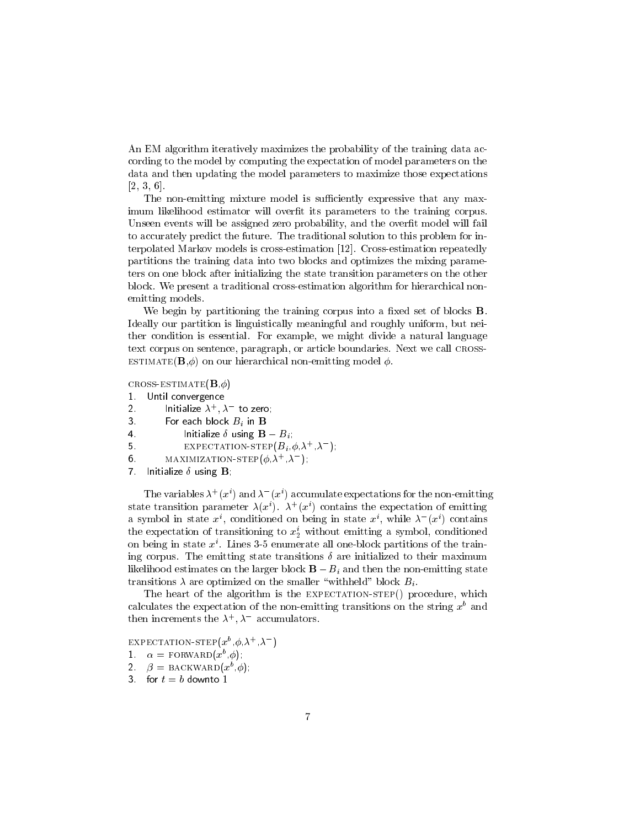An EM algorithm iteratively maximizes the probability of the training data ac cording to the model by computing the expectation of model parameters on the data and then updating the model parameters to maximize those expectations -

The non-emitting mixture model is sufficiently expressive that any maximum likelihood estimator will overfit its parameters to the training corpus. Unseen events will be assigned zero probability and the overt model will fail to accurately predict the future- The traditional solution to this problem for in terpolated Markov models is crossestimation - Crossestimation repeatedly partitions the training data into two blocks and optimizes the mixing parame ters on one block after initializing the state transition parameters on the other block- We present a traditional crossestimation algorithm for hierarchical non emitting models.

We begin by partitioning the training corpus into a fixed set of blocks  $\bf{B}$ . Ideally our partition is linguistically meaningful and roughly uniform but nei  $\mathbf{r}$  is essential-divide a natural language a natural language a natural language a natural language a natural language a natural language a natural language a natural language a natural language a natural language a text corpus on sentence, paragraphs, article boundaries- the cross of the call crossestimateB on our hierarchical nonemitting model -

 $\sim$  crosses to  $\sim$  crosses the  $\sim$  crosses that  $\sim$ 

- $\mathbf 1$  . Until convergence
- $\overline{2}$ Initialize  $\lambda^+, \lambda^-$  to zero;
- 3. For each block  $B_i$  in **B**
- Initialize  $\delta$  using  $\mathbf{B} B_i$ ;
- EXPECTATION-STEP $(B_i, \phi, \lambda^+, \lambda^-)$ ;
- 6. MAXIMIZATION-STEP( $\phi, \lambda^+$ , $\lambda^-$ );
- $\overline{7}$ Initialize  $\delta$  using **B**,

The variables  $\lambda^+(x^*)$  and  $\lambda^-(x^*)$  accumulate expectations for the non-emitting state transition parameter  $\lambda(x)$ .  $\lambda$  (x ) contains the expectation of emitting a symbol in state  $x^i$ , conditioned on being in state  $x^i$ , while  $\lambda^-(x^i)$  contains the expectation of transitioning to  $x_2$  without emitting a symbol, conditioned on being in state  $x$  . Lines 5-5 enumerate all one-block partitions of the training corpus-transitions  $\mathbf{M}$  are initialized to the emitting state transitions  $\mathbf{M}$ likelihood estimates on the larger block  $\mathbf{B} - B_i$  and then the non-emitting state transitions  $\lambda$  are optimized on the smaller "withheld" block  $B_i$ .

The heart of the algorithm is the expectationstep procedure which calculates the expectation of the non-emitting transitions on the string  $x^b$  and then increments the  $\lambda^+, \lambda^-$  accumulators.

EXPECTATION-STEP( $x^{\nu}$ ,  $\phi$ ,  $\lambda^{\top}$ ,  $\lambda^{-}$ )

 $\alpha = \text{row}(x^*,\varphi)$ ,

- $\iota$ ,  $\rho =$  BACKWARD(x, $\varphi$ ),
-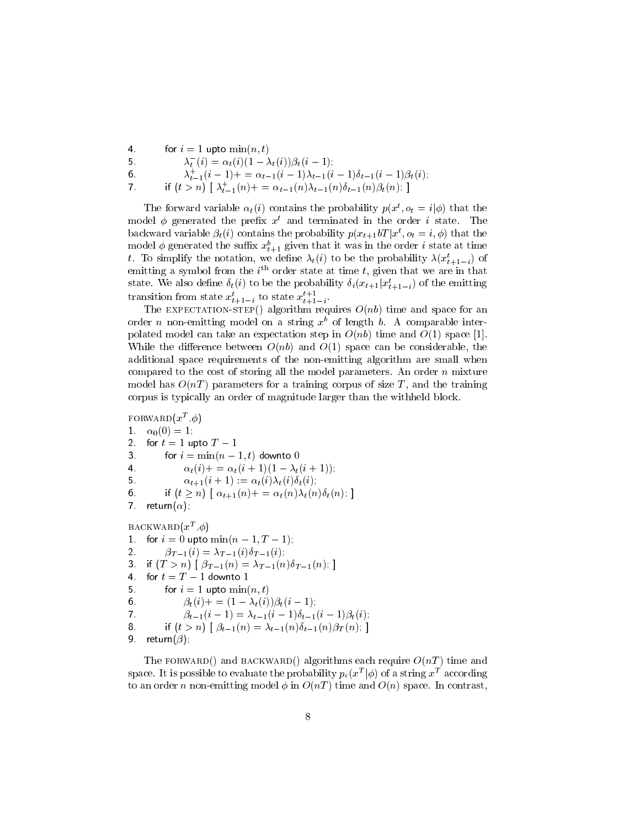$\overline{4}$ for  $i = 1$  upto  $\min(n, t)$  $\lambda_t^-(i) = \alpha_t(i) (1 - \lambda_t(i)) \beta_t(i-1);$ . . 6.  $\lambda_{t-1}(i-1)$  + =  $\alpha_{t-1}(i-1)\lambda_{t-1}(i-1)\theta_{t-1}(i-1)\beta_t(i)$ ;  $\overline{7}$ if  $(t > n)$   $\lambda_{t-1}(n)$  +  $= \alpha_{t-1}(n) \lambda_{t-1}(n) o_{t-1}(n) p_t(n)$ ;

The forward variable  $\alpha_t(i)$  contains the probability  $p(x^t, o_t = i | \phi)$  that the model  $\varphi$  generated the prenx  $x^{\text{-}}$  and terminated in the order  $\imath$  state. Ine backward variable  $\beta_t(i)$  contains the probability  $p(x_{t+1}bT|x^t, o_t=i, \phi)$  that the model  $\varphi$  generated the sumx  $x_{t+1}$  given that it was in the order  $i$  state at time  $$ t. To simplify the notation, we define  $\lambda_t(i)$  to be the probability  $\lambda(x_{t+1-i})$  of emitting a symbol from the  $i$  --order state at time  $i$ , given that we are in that  $i$ state. We also define  $\delta_t(i)$  to be the probability  $\delta_i(x_{t+1} | x_{t+1-i}^t)$  of the emitting  $$ transition from state  $x_{t+1-i}^{\phantom{\dag}}$  to state  $x_{t+1-i}^{\phantom{\dag}}$  $-$ 

The expectations of  $\alpha$  and  $\alpha$  the space for and space  $\alpha$  and space for and space  $\alpha$ order  $n$  non-emitting model on a string  $x$  -of length  $b$ . A comparable interpolated model can take an expectation step in  $O(nb)$  time and  $O(1)$  space [1]. while the distribution of the construction of  $\{x_i\}$  is pace can be considered the constant of the constant of  $\{x_i\}$ additional space requirements of the non-emitting algorithm are small when compared to the cost of storing all the model parameters- An order n mixture model has OnT parameters for a training corpus of size T and the training corpus is typically an order of magnitude larger than the withheld block-

```
FORWARD(Z^-, \varnothing)1<sub>1</sub>\alpha_0(0) = 1;2.for t = 1 upto T - 13.
            For i = \min(n-1, t) downto 0
\overline{4}.
                      \alpha_t(i) + \alpha_t(i+1)(1 - \lambda_t(i+1));if (t \ge n) \alpha_{t+1}(n) + = \alpha_t(n) \lambda_t(n) \delta_t(n);
6.
\overline{7}return(\alpha);
BACKWARD\{x^-, \varphi\}\mathbf 1For i = 0 upto \min(n-1, 1-1),
\overline{2}\gamma i \gamma ii \gamma ii \gamma ii \gamma ii \gamma ii \gamma iii \gamma iii \gamma iii \gamma iii \gamma iii \gamma iii \gamma iii \gamma iii \gamma iii \gamma iii \gamma iii \gamma iii \gamma iii \gamma iii \gamma iii \gamma iii \gamma iii \gamma iii \gamma iii \gamma3.
       n_1 (1 \geq n_1 | \geq r-1 (n) \geq \sim r-1 (n) \vee r-1 (n), |
\overline{4}.
      for t = T - 1 downto 1
. .
            \sigma is the state minimal form \sigma6<sub>1</sub>\beta_t(i) + = (1 - \lambda_t(i))\beta_t(i - 1);
\overline{7}\varphi_{t-1}(i-1) = \alpha_{t-1}(i-1)\varphi_{t-1}(i-1)\varphi_t(i),8.
            \mu(t > n) + \varphi_{t-1}(n) = \Lambda_{t-1}(n) \varphi_{t-1}(n) \varphi_T(n), |
9.
      return(\beta);
```
The FORWARD() and BACKWARD() algorithms each require  $O(nT)$  time and space. It is possible to evaluate the probability  $p_\epsilon(x^T|\phi)$  of a string  $x^T$  according to an order it model in contrast  $\lambda$  and with  $\lambda$  in OnT  $\lambda$  in the OnL  $\lambda$  is pace-on space-only.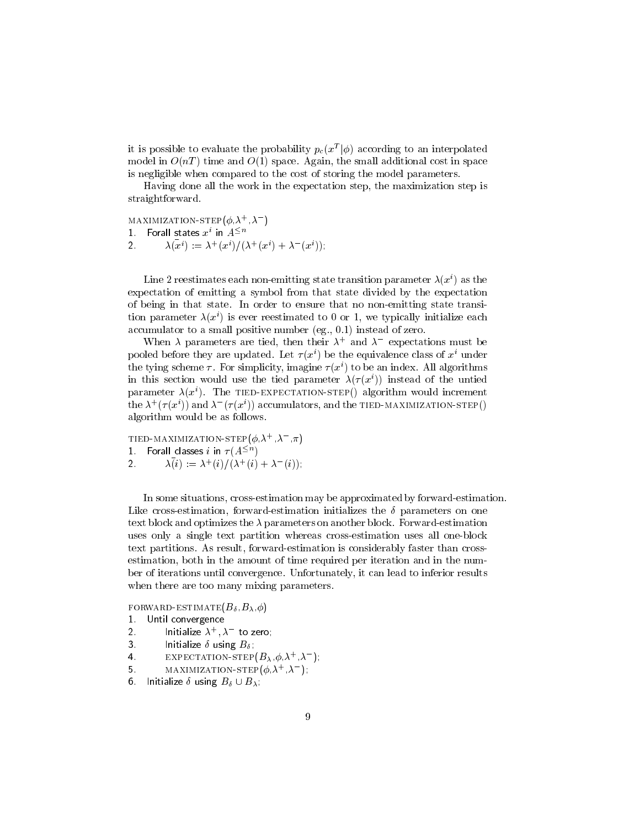it is possible to evaluate the probability  $p_c(x^T|\phi)$  according to an interpolated model in  $\circ$  , the small and  $\circ$  ,  $\circ$  , a pacel in space-order cost in section and  $\circ$  pace-order cost in space-order cost in space-order cost in space-order cost in space-order cost in space-order costs in space-ord is negligible when compared to the cost of storing the model parameters-

Having done all the work in the expectation step the maximization step is straightforward.

MAXIMIZATION-STEP( $\phi$ , $\lambda^+$ , $\lambda^-$ )  $1$   $\,$  Forall states  $x^i$  in  $A^{\leq n}$  $\overline{2}$  $\lambda(x^i) := \lambda^+(x^i)/(\lambda^+(x^i) + \lambda^-(x^i)),$ 

Line 2 reestimates each non-emitting state transition parameter  $\lambda(x^i)$  as the expectation of emitting a symbol from that state divided by the expectation of being in that state-state-state-state-state-state-state-state-state-state-state-state-state-state-state-state-state-state-state-state-state-state-state-state-state-state-state-state-state-state-state-state-state-statetion parameter  $\lambda(x^*)$  is ever reestimated to  $0$  or 1, we typically initialize each accumulator to a small positive multiple in  $\mathcal{A}^{\mathcal{A}}$ 

When  $\lambda$  parameters are tied, then their  $\lambda^+$  and  $\lambda^-$  expectations must be pooled before they are updated. Let  $\tau(x^*)$  be the equivalence class of  $x^*$  under the tying scheme  $\tau$ . For simplicity, imagine  $\tau(x^*)$  to be an index. All algorithms in this section would use the tied parameter  $\lambda(\tau(x^i))$  instead of the untied parameter  $\lambda(x)$  - The TIED-EXPECTATION-STEP() algorithm would increment the  $\lambda^+(\tau(x^\iota))$  and  $\lambda^-(\tau(x^\iota))$  accumulators, and the TIED-MAXIMIZATION-STEP() algorithm would be as follows.

TIED-MAXIMIZATION-STEP( $\phi$   $\lambda^+$   $\lambda^ \pi$ )  $1<sup>1</sup>$ Forall classes  $i$  in  $\tau(A^{\leq n})$  $\overline{2}$  $\lambda(i) := \lambda^{-}(i)/(\lambda^{+}(i) + \lambda^{-}(i));$ 

In some situations crossestimation may be approximated by forwardestimation-Like crossestimation forwardestimation initializes the parameters on one text block and optimizes the parameters on another block- Forwardestimation uses only a single text partition whereas cross-estimation uses all one-block text partitions- As result forwardestimation is considerably faster than cross estimation both in the amount of time required per iteration and in the num ber of iterations until convergence- Unfortunately it can lead to inferior results when there are too many mixing parameters.

forwardestimateB- -B-

- $\mathbf 1$  . Until convergence
- Initialize  $\lambda^+,\lambda^-$  to zero;
- 3. Initialize  $\delta$  using  $B_{\delta}$ .  $\mathbf{r}$
- $\overline{4}$ . EXPECTATION-STEP $(B_{\lambda}, \phi, \lambda^{+}, \lambda^{-})$ ;
- MAXIMIZATION-STEP( $\phi, \lambda^+$ , $\lambda^-$ );
- 6. Initialize  $\delta$  using  $B_\delta \cup B_\lambda$ ;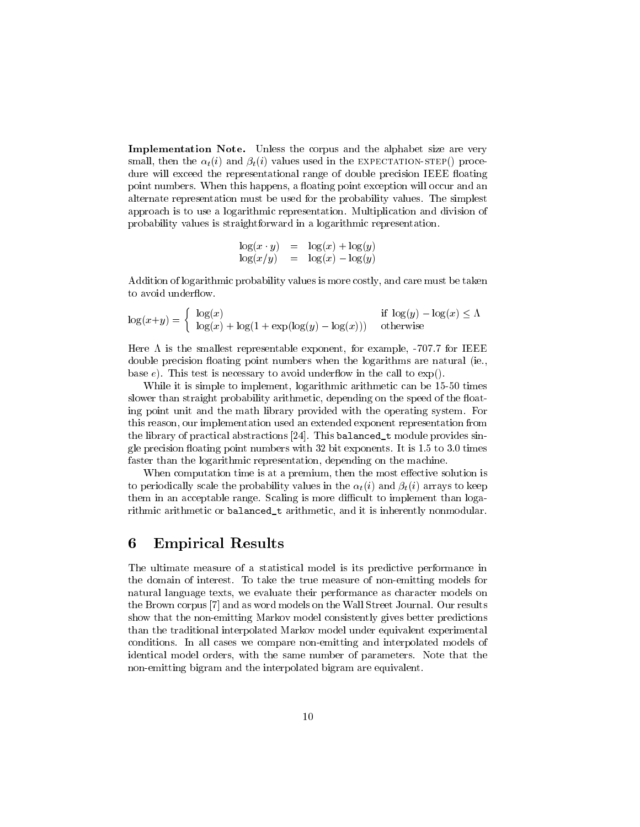Implementation Note. Unless the corpus and the alphabet size are very small the time that  $\{f(t)\}$  and  $\{f(t)\}$  is the expectations when the expectations of the expectations  $\{f(t)\}$ dure will exceed the representational range of double precision IEEE floating point numbers- When this happens a oating point exception will occur and an alternate representation must be used for the probability values- The simplest approach is to use a logarithmic representation- Multiplication and division of probability values is straightforward in a logarithmic representation-

$$
\begin{array}{rcl}\n\log(x \cdot y) & = & \log(x) + \log(y) \\
\log(x/y) & = & \log(x) - \log(y)\n\end{array}
$$

Addition of logarithmic probability values is more costly and care must be taken to avoid underflow.

$$
\log(x+y) = \begin{cases} \log(x) & \text{if } \log(y) - \log(x) \le \Lambda \\ \log(x) + \log(1 + \exp(\log(y) - \log(x))) & \text{otherwise} \end{cases}
$$

Here is the smallest representable exponent for example - for IEEE double precision oating point numbers when the logarithms are natural ie base e-mail test is necessary to avoid under the call test is necessary to experiment the call to experiment t

While it is simple to implement logarithmic arithmetic can be times slower than straight probability arithmetic depending on the speed of the oat ing point unit and the math library provided with the operating system- For this reason implementation used an extended exponent representation from the problem continuous representation the library of practical abstractions - This balancedt module provides sin gle precision oating point numbers with bit exponents- It is - to - times faster than the logarithmic representation depending on the machine-

When computation time is at a premium then the most eective solution is to periodically scale the probability values in the  $\alpha_t(i)$  and  $\beta_t(i)$  arrays to keep them in an acceptable range- Scaling is more di
cult to implement than loga rithmic arithmetic or balancedt arithmetic and it is inherently nonmodular-

#### 6 Empirical Results

The ultimate measure of a statistical model is its predictive performance in the domain of interest- the third case that measure measure measure  $\eta$  models for  $\eta$ natural language texts we evaluate their performance as character models on the Brown corpus and as word models on the Wall Street Journal- Our results show that the non-emitting Markov model consistently gives better predictions than the traditional interpolated Markov model under equivalent experimental conditions- In all cases we compare nonemitting and interpolated models of identical model orders with the same number of parameters- Note that the non-emitting bigram and the interpolated bigram are equivalent.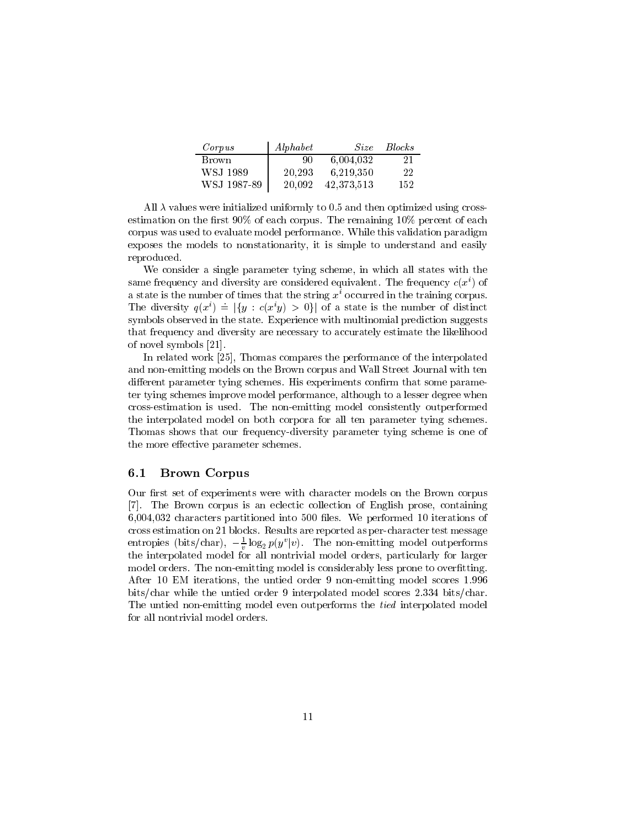| Corpus      | Alphabet | <i>Size</i> | <i>Blocks</i> |
|-------------|----------|-------------|---------------|
| Brown       | -90-     | 6.004.032   | 21            |
| WSJ 1989    | 20.293   | 6.219.350   | 22            |
| WSJ 1987-89 | 20.092   | 42,373,513  | 152           |

All  $\lambda$  values were initialized uniformly to 0.5 and then optimized using crossestimation on the remaining on the remaining of each corpus-field of each corpus-field of each corpus-field of each corpus-field of each corpus-field of each corpus-field of each corpus-field of each corpus-field of each c corpus was used to evaluate model performance- While this validation paradigm exposes the models to nonstationarity it is simple to understand and easily reproduced.

which a single parameter tying states with the states with the states with the states with the states with the same frequency and diversity are considered equivalent. The frequency  $c(x^{\cdot})$  of a state is the number of times that the string  $x^i$  occurred in the training corpus. The diversity  $q(x^i) = |\{y : c(x^iy) > 0\}|$  of a state is the number of distinct symbols observed in the state- Experience with multinomial prediction suggests that frequency and diversity are necessary to accurately estimate the likelihood of novel symbols  $[21]$ .

In related work Thomas compares the performance of the interpolated and nonemitting models on the Brown corpus and Wall Street Journal with ten die erent parameter tying steeden van dip erentatie televisie televisie parameter – ter tying steed in proposed in the step performance of interesting although to a lesser degree when the complete crossestimation isused- The nonemitting model consistently outperformed the interpolated model on both corpora for all ten parameter tying schemes-Thomas shows that our frequency-diversity parameter tying scheme is one of the more effective parameter schemes.

#### $6.1$ Brown Corpus

Our first set of experiments were with character models on the Brown corpus - The Brown corpus is an eclectic collection of English prose containing characters partitioned into les- We performed iterations of cross estimation on blocks-blocks-blocks-blocks-blocks-blocks-blocks-blocks-blocks-blocks-blocks-blocks-block entropies (bits/char),  $-\frac{1}{n} \log_2 p(y^v|v)$ . The non-emitting model outperforms the interpolated model for all nontrivial model orders particularly for larger model orders- The nonemitting model is considerably less prone to overtting-After EM iterations the untied order nonemitting model scores bits! while the untied order is the character order of the unit of the scores - and the character order of the The untied non-emitting model even outperforms the *tied* interpolated model for all nontrivial model orders.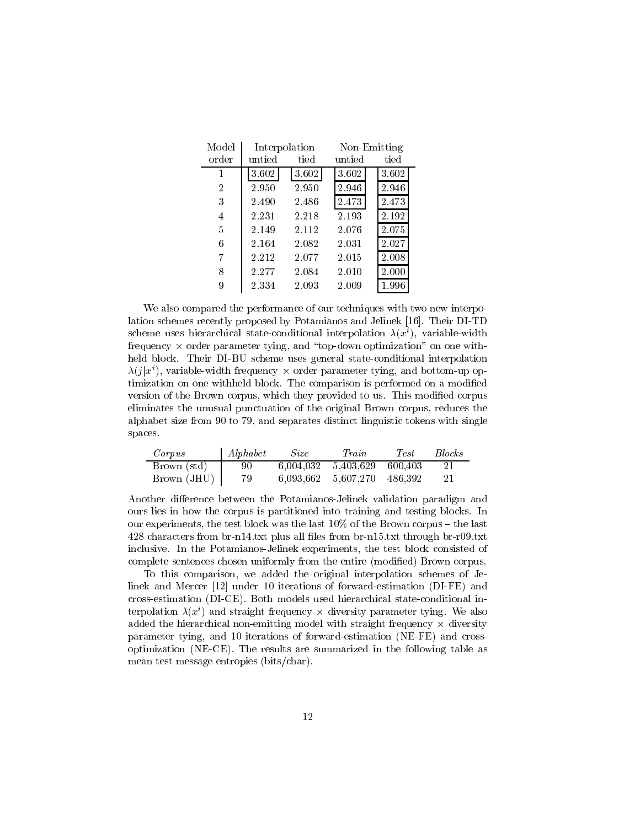| Model          | Interpolation |       | Non-Emitting |       |  |
|----------------|---------------|-------|--------------|-------|--|
| order          | untied        | tied  | untied       | tied  |  |
| 1              | 3.602         | 3.602 | 3.602        | 3.602 |  |
| $\overline{2}$ | 2.950         | 2.950 | 2.946        | 2.946 |  |
| 3              | 2.490         | 2.486 | 2.473        | 2.473 |  |
| 4              | 2.231         | 2.218 | 2.193        | 2.192 |  |
| 5              | 2.149         | 2.112 | 2.076        | 2.075 |  |
| 6              | 2.164         | 2.082 | 2.031        | 2.027 |  |
| 7              | 2.212         | 2.077 | 2.015        | 2.008 |  |
| 8              | 2.277         | 2.084 | 2.010        | 2.000 |  |
| 9              | 2.334         | 2.093 | 2.009        | 1.996 |  |

We also compared the performance of our techniques with two new interpo lation schemes recently proposed by Potamianos and Jelinek - Their DITD scheme uses merarchical state-conditional interpolation  $\lambda(x_\parallel)$ , variable-width frequency  $\times$  order parameter tying, and "top-down optimization" on one withheld block- Their DIBU scheme uses general stateconditional interpolation  $\lambda(j|x^i)$ , variable-width frequency  $\times$  order parameter tying, and bottom-up optimization on one withheld block- The comparison is performed on a modied version of the Brown corpus which they provided to us- This modied corpus eliminates the unusual punctuation of the original Brown corpus reduces the alphabet size from to and separates distinct linguistic tokens with single spaces.

| Corpus        | Alphabet | <i>Size</i> | Train                       | <i>Test</i> | <b>Blocks</b> |  |
|---------------|----------|-------------|-----------------------------|-------------|---------------|--|
| Brown (std)   | -90      |             | 6.004.032 5.403.629 600.403 |             |               |  |
| Brown $(JHU)$ | 79       |             | 6.093.662 5.607.270 486.392 |             |               |  |

Another difference between the Potamianos-Jelinek validation paradigm and ours lies in how the corpus is partitioned into training and testing blocks- In our experiments, the test block was the last finite way of the Brown corpus in the last  $\sim$ txt tricters from brand- txt all all less from british tricted british through the stricters and the stricters inclusive- In the Potamianos consisted of provincial constants and the test block consisted of complete sentences chosen uniformly from the entire (modified) Brown corpus.

To this comparison we added the original interpolation schemes of Je linek and Mercer  $[12]$  under 10 iterations of forward-estimation (DI-FE) and crossestimation DICE- Both models used hierarchical stateconditional in terpolation  $\lambda(x^{\epsilon})$  and straight frequency  $\times$  diversity parameter tying. We also added the hierarchical non-emitting model with straight frequency  $\times$  diversity parameter tying word at iterations of forwarded the formation  $\mathcal{P}^{\text{max}}$  and cross  $\sim$  possesses are summarized in the following table are summarized in the following table as  $\sim$ mean test message entropies (bits/char).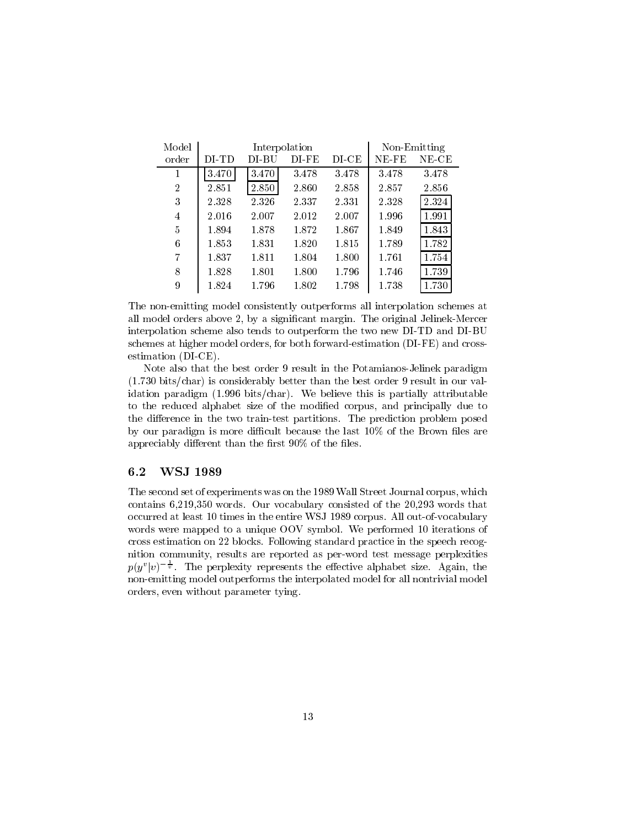| Model          | Interpolation |       |             |           |       | Non-Emitting |
|----------------|---------------|-------|-------------|-----------|-------|--------------|
| order          | DI-TD         | DI-BU | $DI$ - $FE$ | $DI$ $CE$ | NE-FE | NE-CE        |
| 1              | 3.470         | 3.470 | 3.478       | 3.478     | 3.478 | 3.478        |
| $\overline{2}$ | 2.851         | 2.850 | 2.860       | 2.858     | 2.857 | 2.856        |
| 3              | 2.328         | 2.326 | 2.337       | 2.331     | 2.328 | 2.324        |
| $\overline{4}$ | 2.016         | 2.007 | 2.012       | 2.007     | 1.996 | 1.991        |
| 5              | 1.894         | 1.878 | 1.872       | 1.867     | 1.849 | 1.843        |
| 6              | 1.853         | 1.831 | 1.820       | 1.815     | 1.789 | 1.782        |
| 7              | 1.837         | 1.811 | 1.804       | 1.800     | 1.761 | 1.754        |
| 8              | 1.828         | 1.801 | 1.800       | 1.796     | 1.746 | 1.739        |
| 9              | 1.824         | 1.796 | 1.802       | 1.798     | 1.738 | 1.730        |

The non-emitting model consistently outperforms all interpolation schemes at all model or deliver above  $\mathcal{L}$  and  $\mathcal{L}$  are original marginal  $\mathcal{L}$  and  $\mathcal{L}$ interpolation scheme also tends to outperform the two new DI-TD and DI-BU schemes at higher models or both for both formation differentiation  $\mathfrak{f} = \mathfrak{f} = \mathfrak{f} = \mathfrak{f} = \mathfrak{f}$ estimation (DI-CE).

Note also that the best order 9 result in the Potamianos-Jelinek paradigm  $\mathbf b$  is considerably better than the best order  $\mathbf b$ idation paradigm (i.e. is is particle this is particle this is particle this is particle to the second the control of to the reduced alphabet size of the modied corpus and principally due to the dierence in the two traintest partitions- The prediction problem posed by our paradigm is more difficult because the last  $10\%$  of the Brown files are appreciably different than the first  $90\%$  of the files.

## 6.2 WSJ 1989

— the second set of the second set of the second corpus was on the corporation of the street of the second corp contains virtuous contains compared of the construction of the rest respectively consisted of the construction occurred at least to the entire way the entire way to the entire way that we have money words were mapped to a unique OOV symbol-symbol-symbol-symbol-symbol-symbol-symbol-symbol-symbol-symbol-symbolcross estimation on blocks- Following standard practice in the speech recog nition community results are reported as perword test message perplexities  $p(y^v|v)^{-\frac{1}{v}}$ . The perplexity represents the effective alphabet size. Again, the nonemitting model outperforms the interpolated model for all nontrivial model orders even without parameter tying-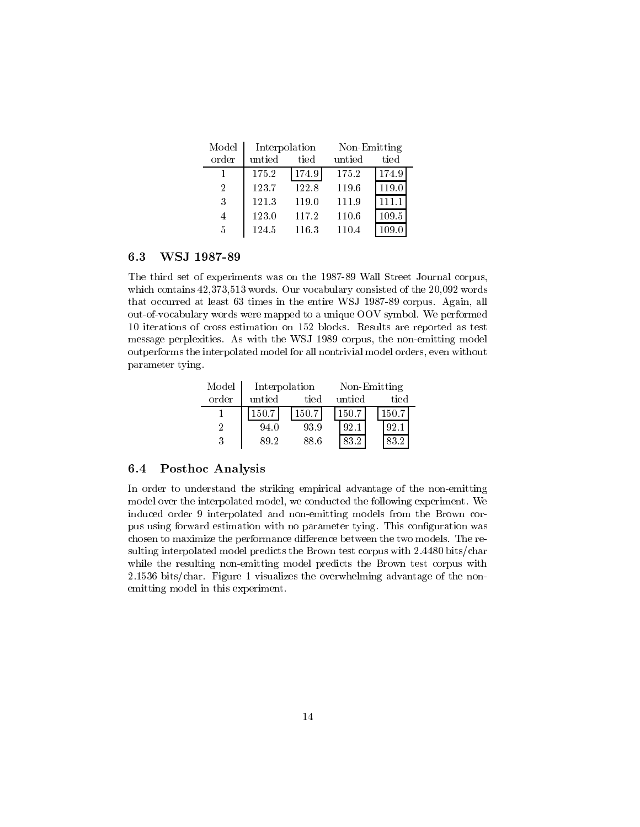| Model | Interpolation |       | Non-Emitting |       |  |
|-------|---------------|-------|--------------|-------|--|
| order | untied        | tied  | untied       | tied  |  |
|       | 175.2         | 174.9 | 175.2        | 174.9 |  |
| 2     | 123.7         | 122.8 | 119.6        | 119.0 |  |
| 3     | 121.3         | 119.0 | 111.9        | 111.1 |  |
| 4     | 123.0         | 117.2 | 110.6        | 109.5 |  |
| 5     | 124.5         | 116.3 | 110.4        | 109.0 |  |

#### 6.3 WSJ 1987-89

The third set of experiments was on the 1987-89 Wall Street Journal corpus, which contains a words-words-words-words-words-words-words-words-words-words-words-words-words-words-words-words-words-words-words-words-words-words-words-words-words-words-words-words-words-words-words-words-words-words-w that occurred at least 00 version in the entire WSJ corpus-part in the entire  $\sim$ outof to the map performance were mapped to a unique OOV symbol-symbol-symbol-symbol-symbol-symbol-symbol-symbol iterations of cross estimation on blocks- Results are reported as test message perpresentatives- the none-itype-energy-energy-energy-energy-energy-energyoutperformation that the interpretation all non-trivial model is all non-trivial model or all stations with the parameter tying-

| Model | Interpolation |       | Non-Emitting |          |  |
|-------|---------------|-------|--------------|----------|--|
| order | untied        | tied  | untied       | tied     |  |
|       | 150.7         | 150.7 | 150.7        | 150.7    |  |
| 9     | 94.0          | 93.9  | 92.1         | -92      |  |
| 3     | 89 2          | 88.6  | 83.2         | $\Omega$ |  |

## Posthoc Analysis

In order to understand the striking empirical advantage of the non-emitting model over the interpretation interpretation the following experiment of the following experimental interpretation induced order 9 interpolated and non-emitting models from the Brown corpus using forward estimation with no parameter tying- This conguration was chosen to maximize the performance dierence between the two models- The re sulting interpolated model predicts the Brown test corpus with - bits!char while the resulting non-emitting model predicts the Brown test corpus with  $\mathbf{f}$  is the overwhelming advantage of the overwhelming advantage of the nonemitting model in this experiment.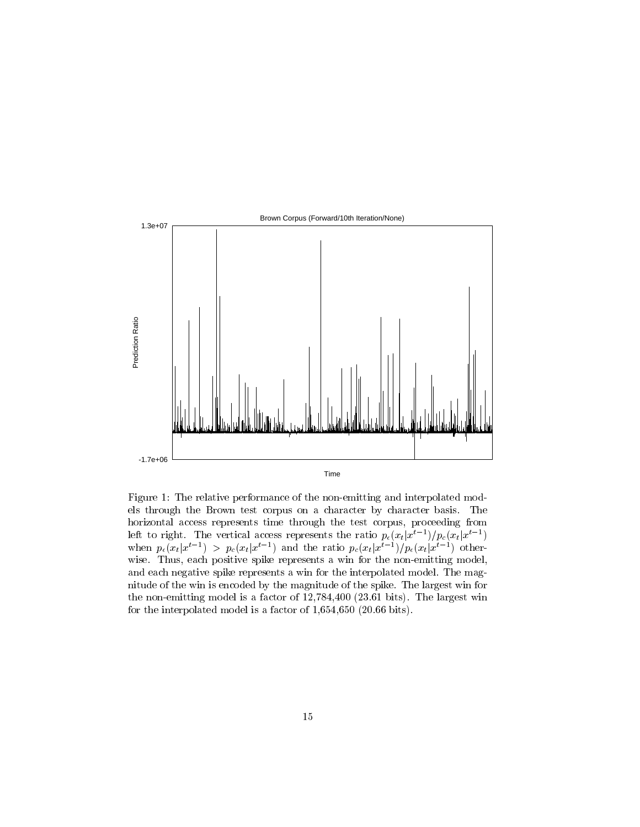

Figure 1: The relative performance of the non-emitting and interpolated models through the Brown test corpus on a character by character basis- The horizontal access represents time through the test corpus proceeding from left to right. The vertical access represents the ratio  $p_{\epsilon}(x_t|x^{t-1})/p_c(x_t|x^{t-1})$ when  $p_{\epsilon}(x_t|x^{t-1}) > p_{\epsilon}(x_t|x^{t-1})$  and the ratio  $p_{\epsilon}(x_t|x^{t-1})/p_{\epsilon}(x_t|x^{t-1})$  otherwise- Thus positive spike represents a wind can wind model model model model and each negative spike represents a window the interpretation model-model-model-model-model-modelnitude of the wind is encoded by the magnitude of the spike- national company wind the spike- $\mathbf{M}$  for a factor of  $\mathbf{M}$  factor of  $\mathbf{M}$  factor of  $\mathbf{M}$ for the interpolated model is a factor of - bits-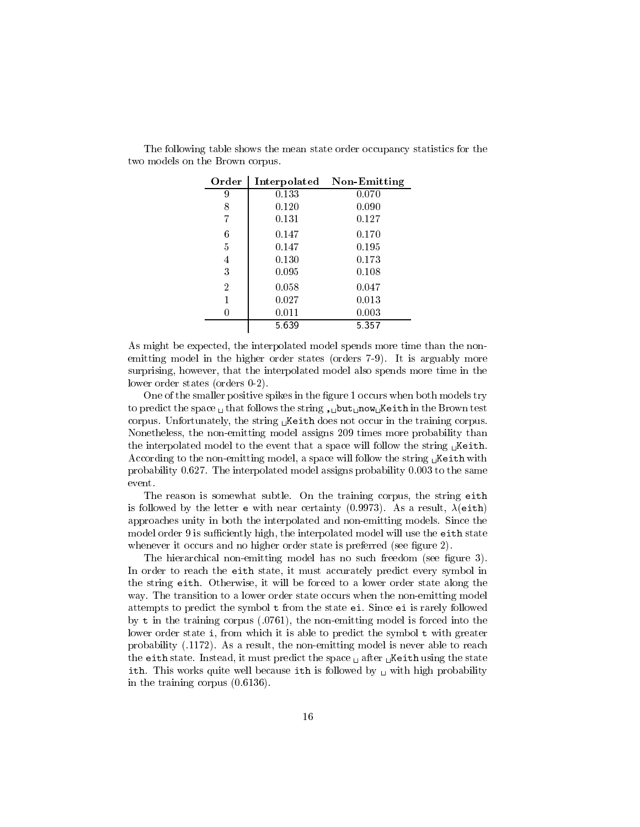| Order          | Interpolated | Non-Emitting |  |
|----------------|--------------|--------------|--|
| 9              | 0.133        | 0.070        |  |
| 8              | 0.120        | 0.090        |  |
| 7              | 0.131        | 0.127        |  |
| 6              | 0.147        | 0.170        |  |
| 5              | 0.147        | 0.195        |  |
| 4              | 0.130        | 0.173        |  |
| 3              | 0.095        | 0.108        |  |
| $\overline{2}$ | 0.058        | 0.047        |  |
| 1              | 0.027        | 0.013        |  |
| 0              | 0.011        | 0.003        |  |
|                | 5 639        | 5 3 5 7      |  |

The following table shows the mean state order occupancy statistics for the two models on the Brown corpus.

As might be expected the interpolated model spends more time than the non emitting model in the mogels states states (states of all it is argument) motors surprisingly that the interpretation comes model produced model interpretation model also spends model in the c lower order states (orders  $0-2$ ).

One of the smaller positive spikes in the figure 1 occurs when both models try to predict the space - that follows the string -but-now-Keith in the Brown test corpus- United the string - the string process in the training corpus-Nonetheless the nonemitting model assigns times more probability than the interpolated model to the event that a space will follow the string -Keith-According to the nonemitting model a space will follow the string -Keith with probability -- The interpolated model assigns probability - to the same event.

The reason is somewhat subtle-training corpus  $\mathbf{r}$  is some  $\mathbf{r}$  in the string either string either string either string either string either string either string either string either string either string either st is followed by the letter extent and as a result of the letter end of the letter of the letter of the letter o approaches unity in both the interpolated and nonemitting models- Since the the interpretation of the interpretation of the interpretation  $\mu$  is the interpretation of the either states in whenever it occurs and no higher order state is preferred (see figure  $2$ ).

The hierarchical non-emitting model has no such freedom (see figure  $3$ ). In order to reach the eith state it must accurately predict every symbol in the string force of the force to a lower order state along the force to a lower order  $\pi$  . It is way-transition to a lower order state order state order state order states when the non-mitting model in the n attempts to predict the symbol t from the symbol t from the symbol t from the state ei- $\alpha$  is the training corpus (i.e. if  $\mu$  ) and the corrections of the nonemitting  $\alpha$ lower order state <sup>i</sup> from which it is able to predict the symbol <sup>t</sup> with greater probability -- As a result the nonemitting model is never able to reach the either states and the state-of-state states of the space  $\mu$  must predict the state states of the state of ith- the model because  $\eta$  model by an including by a contract with ith is followed probability of the second in the training corpus --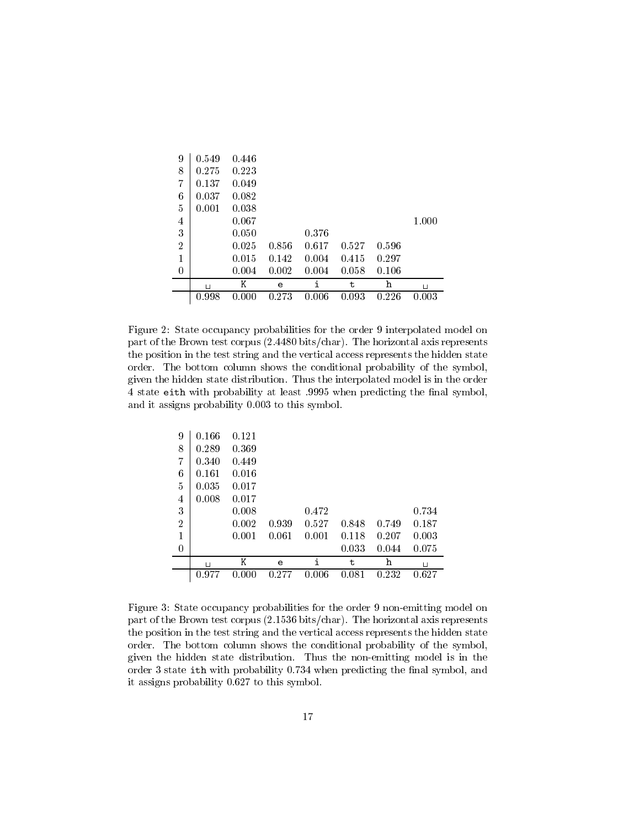| 9              | 0.549    | 0.446 |       |       |       |       |       |
|----------------|----------|-------|-------|-------|-------|-------|-------|
| 8              | 0.275    | 0.223 |       |       |       |       |       |
| $\overline{7}$ | 0.137    | 0.049 |       |       |       |       |       |
| 6              | 0.037    | 0.082 |       |       |       |       |       |
| 5              | 0.001    | 0.038 |       |       |       |       |       |
| 4              |          | 0.067 |       |       |       |       | 1.000 |
| 3              |          | 0.050 |       | 0.376 |       |       |       |
| $\overline{2}$ |          | 0.025 | 0.856 | 0.617 | 0.527 | 0.596 |       |
| $\mathbf{1}$   |          | 0.015 | 0.142 | 0.004 | 0.415 | 0.297 |       |
| 0              |          | 0.004 | 0.002 | 0.004 | 0.058 | 0.106 |       |
|                | $\sqcup$ | Κ     | e     | i     | t     | h     | Ц     |
|                | 0.998    | 0.000 | 0.273 | .006  | 0.093 | 0.226 | 0.003 |

Figure 2: State occupancy probabilities for the order 9 interpolated model on part of the Brown test corpus <sub>(</sub>Brown test) char- ( ) below the horizontal axis represents the corporation of  $\sim$ the position in the test string and the vertical access represents the hidden state order- The bottom column shows the conditional probability of the symbol  $\mathbf n$ state either with probability at least the name probability the names of  $\sim$ and it assigns probability in the symbol-

| 9              | 0.166  | 0.121 |       |       |       |       |       |
|----------------|--------|-------|-------|-------|-------|-------|-------|
| 8              | 0.289  | 0.369 |       |       |       |       |       |
| 7              | 0.340  | 0.449 |       |       |       |       |       |
| 6              | 0.161  | 0.016 |       |       |       |       |       |
| 5              | 0.035  | 0.017 |       |       |       |       |       |
| 4              | 0.008  | 0.017 |       |       |       |       |       |
| 3              |        | 0.008 |       | 0.472 |       |       | 0.734 |
| $\overline{2}$ |        | 0.002 | 0.939 | 0.527 | 0.848 | 0.749 | 0.187 |
| 1              |        | 0.001 | 0.061 | 0.001 | 0.118 | 0.207 | 0.003 |
| $\overline{0}$ |        |       |       |       | 0.033 | 0.044 | 0.075 |
|                | $\Box$ | Κ     | e     | i     | t     | h     | Ц     |
|                | 0.977  | .000  | 0.277 | 0.006 | 0.081 | 0.232 | 0.627 |

Figure 3: State occupancy probabilities for the order 9 non-emitting model on part of the Brown test corpus - bits!char- The horizontal axis represents the position in the test string and the vertical access represents the hidden state order- The bottom column shows the conditional probability of the symbol  $\alpha$  the the model state distribution-distribution-distribution-distribution-distribution-distribution-distributionorder state ith with probability - when predicting the nal symbol and  $\cdots$  assigns probability over  $\cdots$  . This symbol-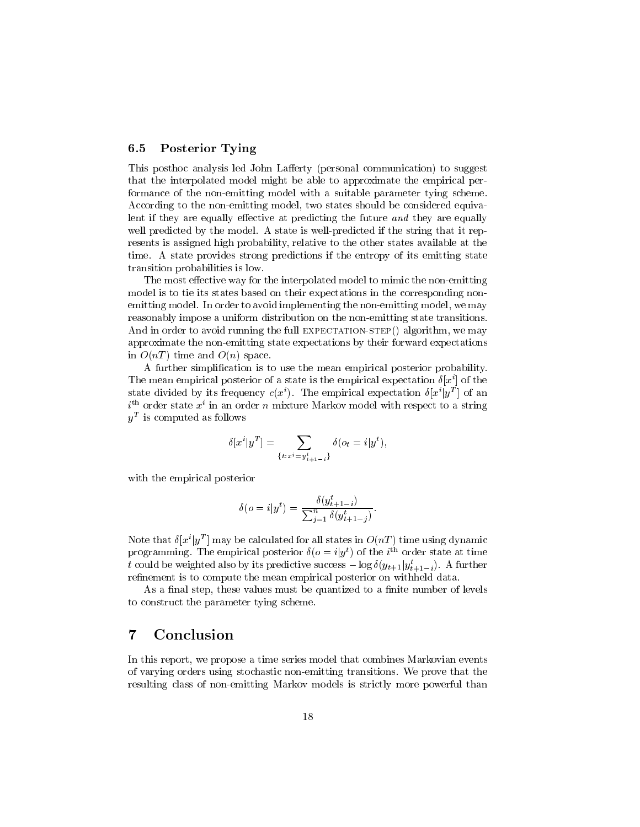#### 6.5 Posterior Tying

This posthoc analysis led John Lafferty (personal communication) to suggest that the interpolated model might be able to approximate the empirical per formance of the non-emitting model with a suitable parameter tying scheme.  $\mathcal{N}$ lent if they are equally effective at predicting the future and they are equally well predicted by the model-by the model-by the model-by the state is well-by the string that it repredicted if resents is assigned in  $\pi$  probability control to the other states available at the other time- A state provides strong predictions if the entropy of its emitting state transition probabilities is low-

The most effective way for the interpolated model to mimic the non-emitting model is to tie its states based on their expectations in the corresponding non emitting model- In order to avoid implementing the nonemitting model we may reasonably impose a uniform distribution on the non-emitting state transitions.  $\mathcal{M}$  and full expectations the full expectations the full expectations of  $\mathcal{M}$ approximate the non-emitting state expectations by their forward expectations in  $O(nT)$  time and  $O(n)$  space.

A further simplication is to use the mean empirical posterior probability-I he mean empirical posterior of a state is the empirical expectation  $\sigma(x)$  of the state divided by its frequency  $c(x^i)$ . The empirical expectation  $\delta[x^i|y^T]$  of an  $i$  – order state  $x$  in an order n mixture markov model with respect to a string  $y^-$  is computed as follows

$$
\delta[x^{i}|y^{T}] = \sum_{\{t:x^{i}=y_{t+1-i}^{t}\}} \delta(o_{t} = i|y^{t}),
$$

with the empirical posterior

$$
\delta(o = i|y^t) = \frac{\delta(y^t_{t+1-i})}{\sum_{j=1}^n \delta(y^t_{t+1-j})}.
$$

Note that  $\delta[x^{\iota}|y^T]$  may be calculated for all states in  $O(nT)$  time using dynamic programming. The empirical posterior  $\delta(o = i|y^t)$  of the i<sup>th</sup> order state at time t could be weighted also by its predictive success  $-\log \delta(y_{t+1}|y_{t+1-i}^t)$ . A further  $$ refinement is to compute the mean empirical posterior on withheld data.

as a month they control control must be quantized to a nominal measure of levels. to construct the parameter tying scheme.

#### 7 Conclusion

In this report we propose a time series model that combines Markovian events of varying orders using stochastic nonemitting transitions- We prove that the resulting class of non-emitting Markov models is strictly more powerful than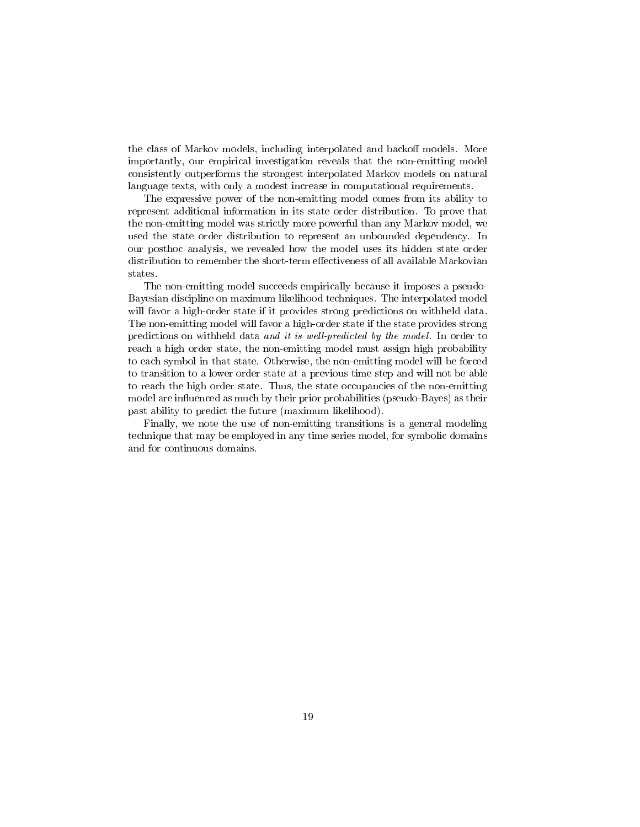the class of Markov models including interpretational products. There is and back the second control to the co importantly our empirical investigation reveals that the nonemitting model consistently outperforms the strongest interpolated Markov models on natural language texts with only a modest increase in computational requirements-

The expressive power of the non-emitting model comes from its ability to represent additional information in its state order distribution- To prove that the nonemitting model was strictly more powerful than any Markov model we used the state order distribution to represent an unbounded dependency- In our posthoc analysis, we revenue how the model was its hidden states around the model of distribution to remember the short-term effectiveness of all available Markovian states.

The non-emitting model succeeds empirically because it imposes a pseudo-Bayesian discipline on maximum likelihood techniques- The interpolated model will favor a high-order state if it provides strong predictions on withheld data. The non-emitting model will favor a high-order state if the state provides strong predictions on with its well-data and it is well-data and it is well-defined by the model - in order to model reach a high order state, the none chaincing model model model must probable to any to each symbol in the state-state of the state-state model will be forced with the state of the forced will be to transition to a lower order state at a previous time step and will not be able to reach the high order state- Thus the state occupancies of the nonemitting model are influenced as much by their prior probabilities (pseudo-Bayes) as their past ability to predict the future (maximum likelihood).

Finally we note the use of nonemitting transitions is a general modeling technique that may be employed in any time series model for symbolic domains and for continuous domains.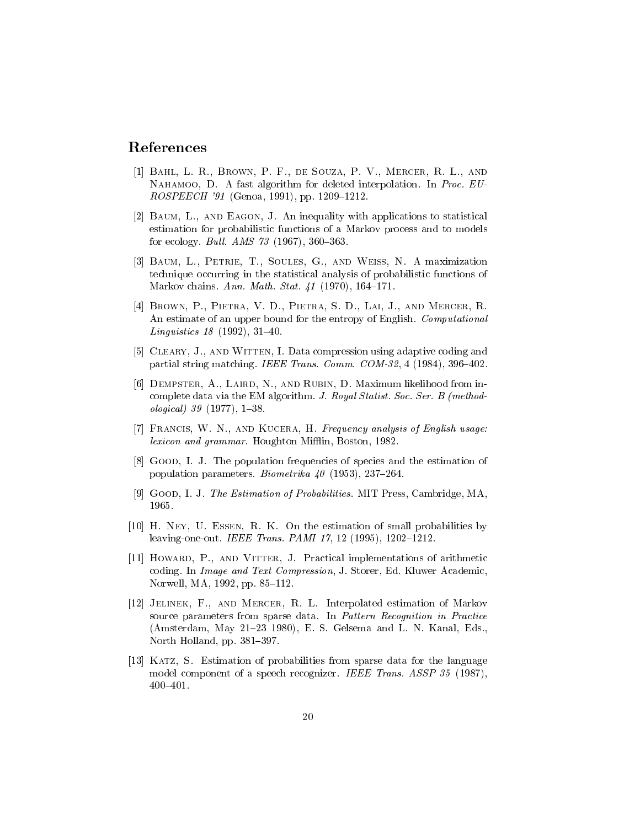# References

- Bahl- L R- Brown- P F- de Souza- P V- Mercer- R L- and Nahamoo- D A fast algorithm for deleted interpolation- In Proc- EU ROSPEECH Genoa pp- -
- , and Eagon-Controllering with a statistical controllering the statistical controllering and the statistical controllering and the statistical controllering and the statistical controllering and the statistical controlleri estimation for probabilistic functions of a Markov process and to models for example, we can also a set of the set of  $\mathcal{A}$  and  $\mathcal{A}$  are the set of the set of the set of the set of the set of the set of the set of the set of the set of the set of the set of the set of the set of the set
- . Baum-Little-Weiss-Soules-Weiss-Soules-Weiss-Weiss-Weiss-Weiss-Weiss-Weiss-Weiss-Weiss-Weiss-Weiss-Weiss-Weis technique occurring in the statistical analysis of probabilistic functions of Markov chains- Ann- Math- Stat- -
- Brown- P- Pietra- V D- Pietra- S D- Lai- J- and Mercer- R and computer of an upper bound for the entropy of English- Computer to the entropy of  $\mathcal{A}$ Linguistics -
- is is compressed in the contract of the Cleary-Compression using and with  $\alpha$  and  $\alpha$ partial string matching- IEEE Trans- Comm- COM -
- , and are an and rubin-rubin-rubin-rubin-rubin-rubin-rubin-rubin-rubin-rubin-rubin-rubin-rubin-rubin-rubin-rub complete data via the EM algorithm-distribution of the EM algorithm-distribution of the EM algorithm-distribution of the EM algorithm- $\blacksquare$  . The contract of the contract of the contract of the contract of the contract of the contract of the contract of the contract of the contract of the contract of the contract of the contract of the contract of the
- Francis- W N- and Kucera- H Frequency analysis of English usage lexicon and grammar- Houghton Mi"in Boston -
- Good- I J The population frequencies of species and the estimation of population parameters- Biometrika -
- is I wood-I at your attendance in the estimation of Press and Press and Press and Press and Press and 1965.
- is a construction of the estimation of small probabilities by a construction of the estimation of the estimation leavingoneout- IEEE Trans- PAMI -
- is and vitter- in the contraction interesting and are contracted the contractions of arithmetical contractions coding-text Companies and Text Companies and Text Companies and Text Companies and Text Companies and Text Compa Norwell and the second contract of the second contract of the second contract of the second contract of the second contract of the second contract of the second contract of the second contract of the second contract of the
- Jelinek- F- and Mercer- R L Interpolated estimation of Markov source parameters from sparse data- In Pattern Recognition in Practice Amsterdam May E- S- Gelsema and L- N- Kanal Eds- North Holland pp- -
- ities and the probabilities from sparse data for the language of the language of the language of the language o model component of a speech recognizer- IEEE Trans- ASSP  $400 - 401.$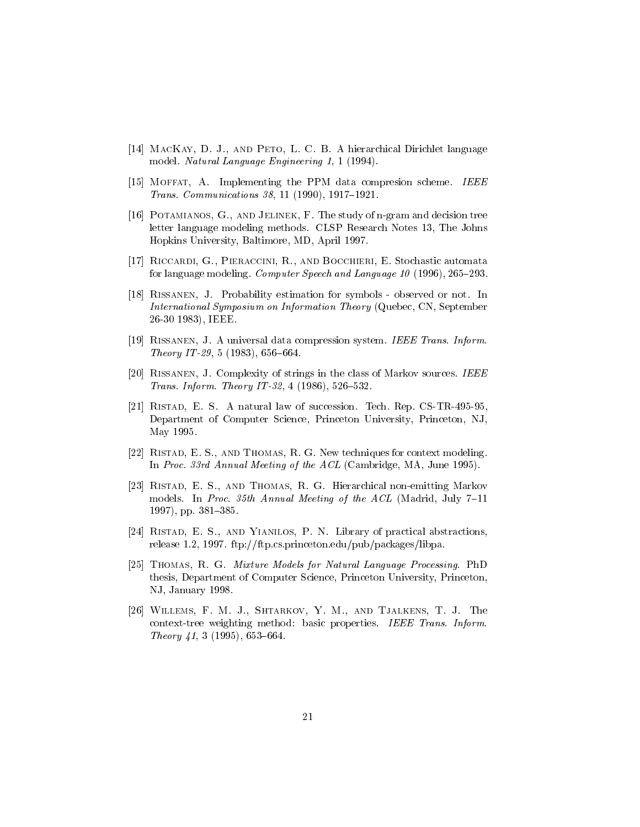- , and Petro-Petro , D in Petro-Petro , D in Petro-Petro-Petro-Petro-Petro-Petro-Petro-Petro-Petro-Petro-Petromodel- Natural Language Engineering -
- , is in the property the PPM data compression scheme and the PPM data complete scheme and the PPM data computer Trans- Communications -
- , and and the study of the study of the study of the study of the study were decided and decision to the study letter language modeling methods- CLSP Research Notes The Johns Hopkins University Baltimore MD April -
- ricardi- e statuer e contra contra contra automata e contra automata automata automata automata e contra contr for language modeling- Computer Speech and Language -
- Rissanen- J Probability estimation for symbols observed or not-International Symposium on Information Theory Quebec CN September IEEE - IEEE - IEEE - IEEE - IEEE - IEEE - IEEE - IEEE - IEEE - IEEE - IEEE - IEEE - IEEE - IEEE - IEEE - IEEE
- , a universal data compression system-compression systems compression states and a series of the series of the Theory IT -
- Rissanen- J Complexity of strings in the class of Markov sources- IEEE  $\mathbf{J}$  is a set of  $\mathbf{J}$  is a set of  $\mathbf{J}$  is a set of  $\mathbf{J}$  is a set of  $\mathbf{J}$  is a set of  $\mathbf{J}$
- ristade en de la succession-law of succession-and the succession- of the succession-Department of Computer Science Princeton University Princeton NJ May 1995.
- , and Thomas-Thomas-Thomas-Thomas-Thomas-Thomas-Thomas-Thomas-Thomas-Thomas-Thomas-Thomas-Thomas-Thomas-Thomas In Proc- rd Annual Meeting of the ACL Cambridge MA June -
- Ristad- E S- and Thomas- R G Hierarchical nonemitting Markov models- in Processes and Accessed of the Acl Madrid Meeting of the Acl Madrid Meeting of the Acl Madrid Meeting of the Acl Madrid Meeting of the Acl Madrid Meeting of the Acl Madrid Meeting of the Acl Madrid Meeting of the pp-1. **pp-1.** pp-1. pp-1. pp-1. pp-1. pp-1. pp-1. pp-1. pp-1. pp-1. pp-1. pp-1. pp-1. pp-1. pp-1. pp-1. pp-1. pp-1.
- ristade-se and Yianidos-se and Yianidos-se and the production of productions abstractions release - - ftp!!ftp-cs-princeton-edu!pub!packages!libpa-
- Thomas- R G Mixture Models for Natural Language Processing- PhD thesis Department of Computer Science Princeton University Princeton NJ Andreas Andreas Andreas Andreas Andreas Andreas Andreas Andreas Andreas Andreas Andreas Andreas Andreas And
- will be a short to be a short to be a short to be a short to be a short to be a short to be a short to be a short of the short of the short of the short of the short of the short of the short of the short of the short of t context to a method basic properties- in the method basic properties- in the method basic properties- in the m Theory -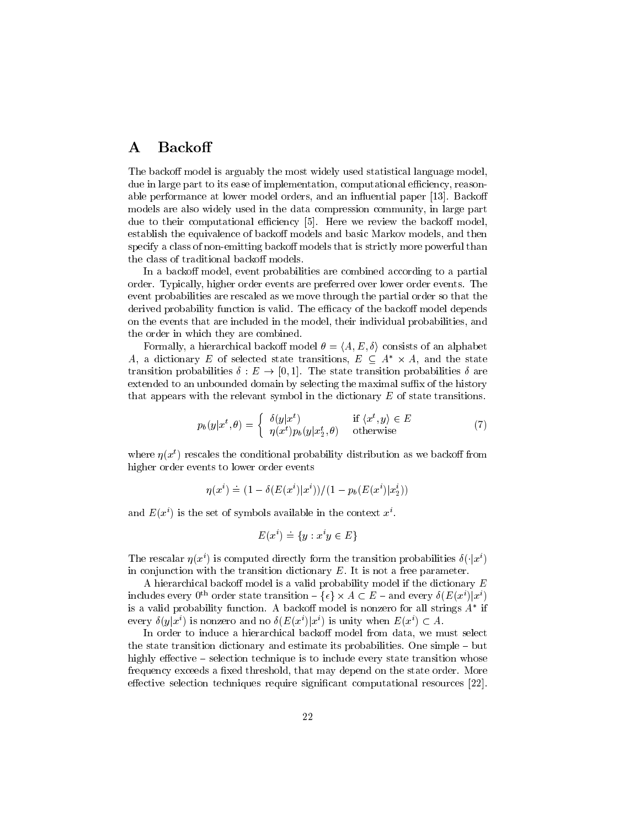#### **Backoff**  $\mathbf A$

The backoff model is arguably the most widely used statistical language model. a due in group part to its ease of implementation in the particle measurement and computer the computational c able performance at lower model or determine and and and and and and another paper - paper - and and a models are also widely used in the data compression community in large part due to their computations and their population in the back the backov model is an output of the back of the ba establish the equivalence of backo models and basic Markov models and then specify a class of non-emitting backoff models that is strictly more powerful than the class of traditional backoff models.

In a backo model event probabilities are combined according to a partial order- Typically higher order events are preferred over lower order events- The event probabilities are rescaled as we move through the partial order so that the derived probability function is valid-to the backoving the extreme model depends of the backoving the backovin on the events that we have interested in the model in the model in the model probabilities in the model the order in which they are combined.

Formally, a hierarchical backoff model  $\theta = \langle A, E, \delta \rangle$  consists of an alphabet A, a dictionary E of selected state transitions,  $E \subseteq A^* \times A$ , and the state transition probabilities  $\delta: E \to [0,1]$ . The state transition probabilities  $\delta$  are extended to an unbounded domain by selecting the maximal suffix of the history that appears with the relevant symbol in the dictionary  $E$  of state transitions.

$$
p_b(y|x^t, \theta) = \begin{cases} \delta(y|x^t) & \text{if } \langle x^t, y \rangle \in E \\ \eta(x^t) p_b(y|x_2^t, \theta) & \text{otherwise} \end{cases}
$$
(7)

where  $\eta(x^t)$  rescales the conditional probability distribution as we backoff from higher order events to lower order events

$$
\eta(x^i) \doteq (1-\delta(E(x^i)|x^i))/(1-p_b(E(x^i)|x_2^i))
$$

and  $E(x)$  is the set of symbols available in the context  $x$ .

$$
E(x^i) = \{y : x^i y \in E\}
$$

The rescalar  $\eta(x^i)$  is computed directly form the transition probabilities  $\delta(\cdot|x^i)$ in conjunction with the transition dictionary E- It is not a free parameter-

A hierarchical backoff model is a valid probability model if the dictionary  $E$ includes every 0<sup>th</sup> order state transition  $-\{\epsilon\} \times A \subset E$  – and every  $\delta(E(x^i)|x^i)$ is a valid probability function. A backoff model is nonzero for all strings  $A^*$  if every  $\delta(y|x^i)$  is nonzero and no  $\delta(E(x^i)|x^i)$  is unity when  $E(x^i) \subset A$ .

In order to induce a hierarchical backo model from data we must select the state transition dictionary and estimate its probabilities- One simple but highly effective  $-$  selection technique is to include every state transition whose frequency exceeds a xed threshold that may depend on the state order- More effective selection techniques require significant computational resources [22].